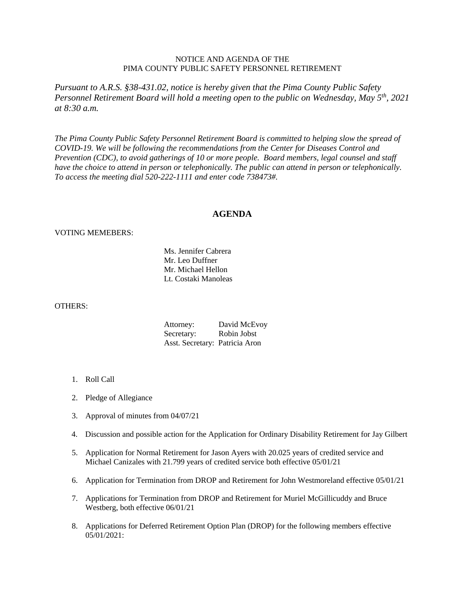## NOTICE AND AGENDA OF THE PIMA COUNTY PUBLIC SAFETY PERSONNEL RETIREMENT

*Pursuant to A.R.S. §38-431.02, notice is hereby given that the Pima County Public Safety Personnel Retirement Board will hold a meeting open to the public on Wednesday, May 5th, 2021 at 8:30 a.m.*

*The Pima County Public Safety Personnel Retirement Board is committed to helping slow the spread of COVID-19. We will be following the recommendations from the Center for Diseases Control and Prevention (CDC), to avoid gatherings of 10 or more people. Board members, legal counsel and staff have the choice to attend in person or telephonically. The public can attend in person or telephonically. To access the meeting dial 520-222-1111 and enter code 738473#.*

## **AGENDA**

## VOTING MEMEBERS:

Ms. Jennifer Cabrera Mr. Leo Duffner Mr. Michael Hellon Lt. Costaki Manoleas

## OTHERS:

| Attorney:                      | David McEvoy |
|--------------------------------|--------------|
| Secretary:                     | Robin Jobst  |
| Asst. Secretary: Patricia Aron |              |

- 1. Roll Call
- 2. Pledge of Allegiance
- 3. Approval of minutes from 04/07/21
- 4. Discussion and possible action for the Application for Ordinary Disability Retirement for Jay Gilbert
- 5. Application for Normal Retirement for Jason Ayers with 20.025 years of credited service and Michael Canizales with 21.799 years of credited service both effective 05/01/21
- 6. Application for Termination from DROP and Retirement for John Westmoreland effective 05/01/21
- 7. Applications for Termination from DROP and Retirement for Muriel McGillicuddy and Bruce Westberg, both effective 06/01/21
- 8. Applications for Deferred Retirement Option Plan (DROP) for the following members effective 05/01/2021: